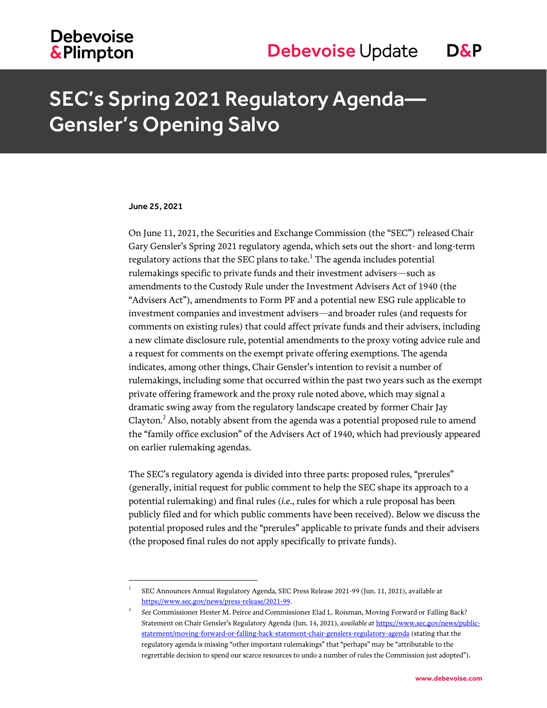## **Debevoise &Plimpton**

# SEC's Spring 2021 Regulatory Agenda— Gensler's Opening Salvo

#### June 25, 2021

l

On June 11, 2021, the Securities and Exchange Commission (the "SEC") released Chair Gary Gensler's Spring 2021 regulatory agenda, which sets out the short- and long-term regulatory actions that the SEC plans to take. $^{\rm 1}$  The agenda includes potential rulemakings specific to private funds and their investment advisers—such as amendments to the Custody Rule under the Investment Advisers Act of 1940 (the "Advisers Act"), amendments to Form PF and a potential new ESG rule applicable to investment companies and investment advisers—and broader rules (and requests for comments on existing rules) that could affect private funds and their advisers, including a new climate disclosure rule, potential amendments to the proxy voting advice rule and a request for comments on the exempt private offering exemptions. The agenda indicates, among other things, Chair Gensler's intention to revisit a number of rulemakings, including some that occurred within the past two years such as the exempt private offering framework and the proxy rule noted above, which may signal a dramatic swing away from the regulatory landscape created by former Chair Jay Clayton.<sup>2</sup> Also, notably absent from the agenda was a potential proposed rule to amend the "family office exclusion" of the Advisers Act of 1940, which had previously appeared on earlier rulemaking agendas.

The SEC's regulatory agenda is divided into three parts: proposed rules, "prerules" (generally, initial request for public comment to help the SEC shape its approach to a potential rulemaking) and final rules (*i.e.*, rules for which a rule proposal has been publicly filed and for which public comments have been received). Below we discuss the potential proposed rules and the "prerules" applicable to private funds and their advisers (the proposed final rules do not apply specifically to private funds).

<sup>1</sup> SEC Announces Annual Regulatory Agenda, SEC Press Release 2021-99 (Jun. 11, 2021), available at [https://www.sec.gov/news/press-release/2021-99.](https://www.sec.gov/news/press-release/2021-99)

<sup>2</sup> *See* Commissioner Hester M. Peirce and Commissioner Elad L. Roisman, Moving Forward or Falling Back? Statement on Chair Gensler's Regulatory Agenda (Jun. 14, 2021), *available at* [https://www.sec.gov/news/public](https://www.sec.gov/news/public-statement/moving-forward-or-falling-back-statement-chair-genslers-regulatory-agenda)[statement/moving-forward-or-falling-back-statement-chair-genslers-regulatory-agenda](https://www.sec.gov/news/public-statement/moving-forward-or-falling-back-statement-chair-genslers-regulatory-agenda) (stating that the regulatory agenda is missing "other important rulemakings" that "perhaps" may be "attributable to the regrettable decision to spend our scarce resources to undo a number of rules the Commission just adopted").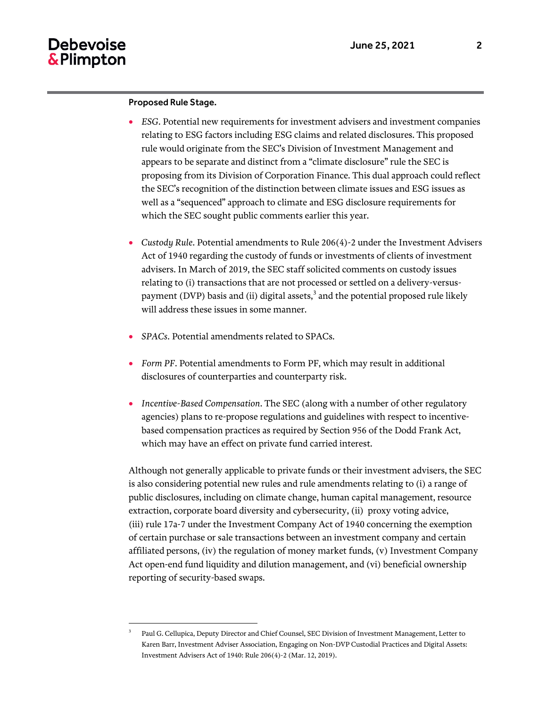#### Proposed Rule Stage.

 $\overline{a}$ 3

- *ESG*. Potential new requirements for investment advisers and investment companies relating to ESG factors including ESG claims and related disclosures. This proposed rule would originate from the SEC's Division of Investment Management and appears to be separate and distinct from a "climate disclosure" rule the SEC is proposing from its Division of Corporation Finance. This dual approach could reflect the SEC's recognition of the distinction between climate issues and ESG issues as well as a "sequenced" approach to climate and ESG disclosure requirements for which the SEC sought public comments earlier this year.
- *Custody Rule*. Potential amendments to Rule 206(4)-2 under the Investment Advisers Act of 1940 regarding the custody of funds or investments of clients of investment advisers. In March of 2019, the SEC staff solicited comments on custody issues relating to (i) transactions that are not processed or settled on a delivery-versuspayment (DVP) basis and (ii) digital assets, $^3$  and the potential proposed rule likely will address these issues in some manner.
- *SPACs*. Potential amendments related to SPACs.
- *Form PF*. Potential amendments to Form PF, which may result in additional disclosures of counterparties and counterparty risk.
- *Incentive-Based Compensation*. The SEC (along with a number of other regulatory agencies) plans to re-propose regulations and guidelines with respect to incentivebased compensation practices as required by Section 956 of the Dodd Frank Act, which may have an effect on private fund carried interest.

Although not generally applicable to private funds or their investment advisers, the SEC is also considering potential new rules and rule amendments relating to (i) a range of public disclosures, including on climate change, human capital management, resource extraction, corporate board diversity and cybersecurity, (ii) proxy voting advice, (iii) rule 17a-7 under the Investment Company Act of 1940 concerning the exemption of certain purchase or sale transactions between an investment company and certain affiliated persons, (iv) the regulation of money market funds, (v) Investment Company Act open-end fund liquidity and dilution management, and (vi) beneficial ownership reporting of security-based swaps.

Paul G. Cellupica, Deputy Director and Chief Counsel, SEC Division of Investment Management, Letter to Karen Barr, Investment Adviser Association, Engaging on Non-DVP Custodial Practices and Digital Assets: Investment Advisers Act of 1940: Rule 206(4)-2 (Mar. 12, 2019).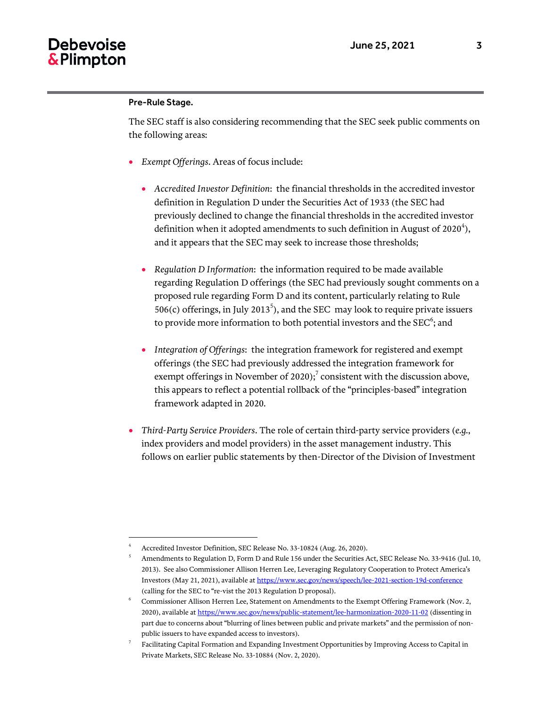### Pre-Rule Stage.

l

The SEC staff is also considering recommending that the SEC seek public comments on the following areas:

- *Exempt Offerings*. Areas of focus include:
	- *Accredited Investor Definition*: the financial thresholds in the accredited investor definition in Regulation D under the Securities Act of 1933 (the SEC had previously declined to change the financial thresholds in the accredited investor definition when it adopted amendments to such definition in August of 2020<sup>4</sup>), and it appears that the SEC may seek to increase those thresholds;
	- *Regulation D Information*: the information required to be made available regarding Regulation D offerings (the SEC had previously sought comments on a proposed rule regarding Form D and its content, particularly relating to Rule  $506(c)$  offerings, in July 2013<sup>5</sup>), and the SEC may look to require private issuers to provide more information to both potential investors and the SEC $\mathrm{^6;}$  and
	- *Integration of Offerings*: the integration framework for registered and exempt offerings (the SEC had previously addressed the integration framework for exempt offerings in November of 2020);<sup>7</sup> consistent with the discussion above, this appears to reflect a potential rollback of the "principles-based" integration framework adapted in 2020.
- *Third-Party Service Providers*. The role of certain third-party service providers (*e.g.*, index providers and model providers) in the asset management industry. This follows on earlier public statements by then-Director of the Division of Investment

<sup>4</sup> Accredited Investor Definition, SEC Release No. 33-10824 (Aug. 26, 2020).

<sup>5</sup> Amendments to Regulation D, Form D and Rule 156 under the Securities Act, SEC Release No. 33-9416 (Jul. 10, 2013). See also Commissioner Allison Herren Lee, Leveraging Regulatory Cooperation to Protect America's Investors (May 21, 2021), available a[t https://www.sec.gov/news/speech/lee-2021-section-19d-conference](https://www.sec.gov/news/speech/lee-2021-section-19d-conference) (calling for the SEC to "re-vist the 2013 Regulation D proposal).

<sup>6</sup> Commissioner Allison Herren Lee, Statement on Amendments to the Exempt Offering Framework (Nov. 2, 2020), available a[t https://www.sec.gov/news/public-statement/lee-harmonization-2020-11-02](https://www.sec.gov/news/public-statement/lee-harmonization-2020-11-02) (dissenting in part due to concerns about "blurring of lines between public and private markets" and the permission of nonpublic issuers to have expanded access to investors).

<sup>7</sup> Facilitating Capital Formation and Expanding Investment Opportunities by Improving Access to Capital in Private Markets, SEC Release No. 33-10884 (Nov. 2, 2020).